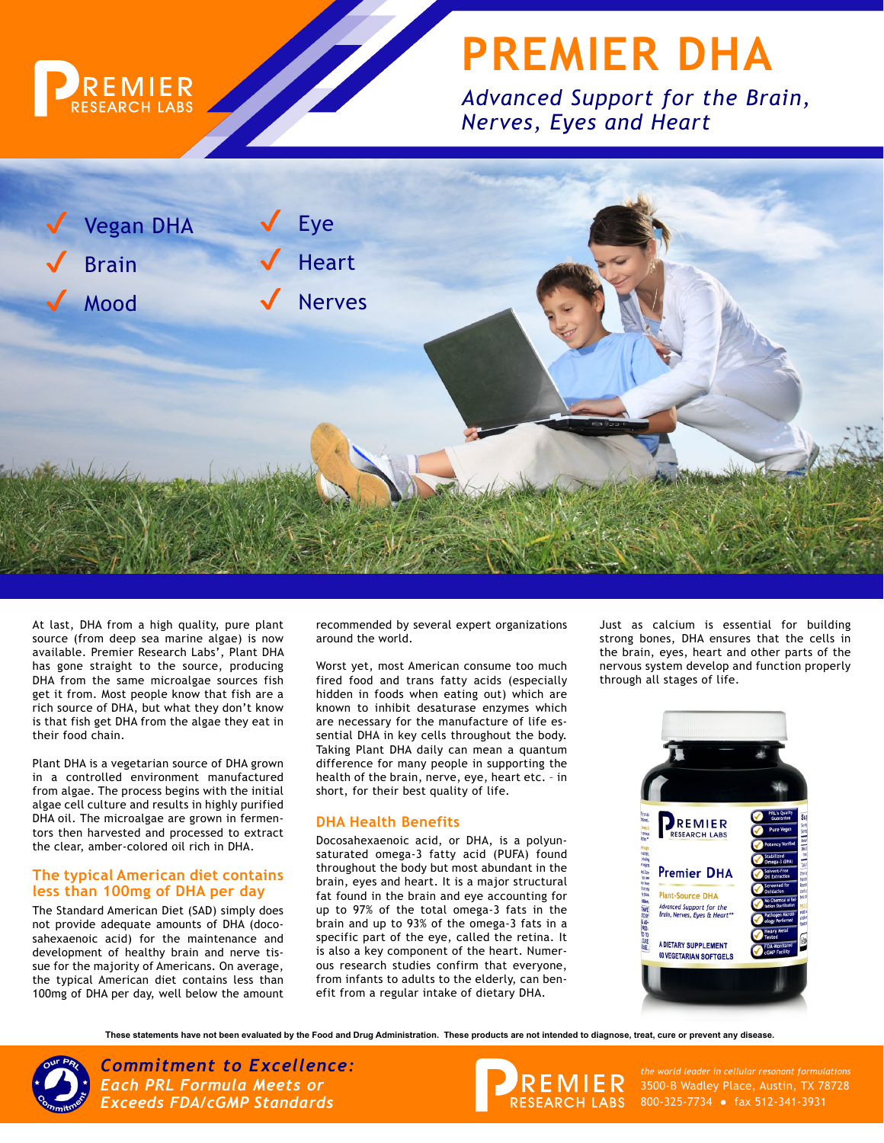

# **PREMIER DHA**

*Advanced Support for the Brain, Nerves, Eyes and Heart*



At last, DHA from a high quality, pure plant source (from deep sea marine algae) is now available. Premier Research Labs', Plant DHA has gone straight to the source, producing DHA from the same microalgae sources fish get it from. Most people know that fish are a rich source of DHA, but what they don't know is that fish get DHA from the algae they eat in their food chain.

Plant DHA is a vegetarian source of DHA grown in a controlled environment manufactured from algae. The process begins with the initial algae cell culture and results in highly purified DHA oil. The microalgae are grown in fermentors then harvested and processed to extract the clear, amber-colored oil rich in DHA.

#### **The typical American diet contains less than 100mg of DHA per day**

The Standard American Diet (SAD) simply does not provide adequate amounts of DHA (docosahexaenoic acid) for the maintenance and development of healthy brain and nerve tissue for the majority of Americans. On average, the typical American diet contains less than 100mg of DHA per day, well below the amount recommended by several expert organizations around the world.

Worst yet, most American consume too much fired food and trans fatty acids (especially hidden in foods when eating out) which are known to inhibit desaturase enzymes which are necessary for the manufacture of life essential DHA in key cells throughout the body. Taking Plant DHA daily can mean a quantum difference for many people in supporting the health of the brain, nerve, eye, heart etc. – in short, for their best quality of life.

### **DHA Health Benefits**

Docosahexaenoic acid, or DHA, is a polyunsaturated omega-3 fatty acid (PUFA) found throughout the body but most abundant in the brain, eyes and heart. It is a major structural fat found in the brain and eye accounting for up to 97% of the total omega-3 fats in the brain and up to 93% of the omega-3 fats in a specific part of the eye, called the retina. It is also a key component of the heart. Numerous research studies confirm that everyone, from infants to adults to the elderly, can benefit from a regular intake of dietary DHA.

Just as calcium is essential for building strong bones, DHA ensures that the cells in the brain, eyes, heart and other parts of the nervous system develop and function properly through all stages of life.



**These statements have not been evaluated by the Food and Drug Administration. These products are not intended to diagnose, treat, cure or prevent any disease.**



*Commitment to Excellence: the world leader in cellular resonant formulations Each PRL Formula Meets or Exceeds FDA/cGMP Standards*



3500-B Wadley Place, Austin, TX 78728 800-325-7734 ● fax 512-341-3931